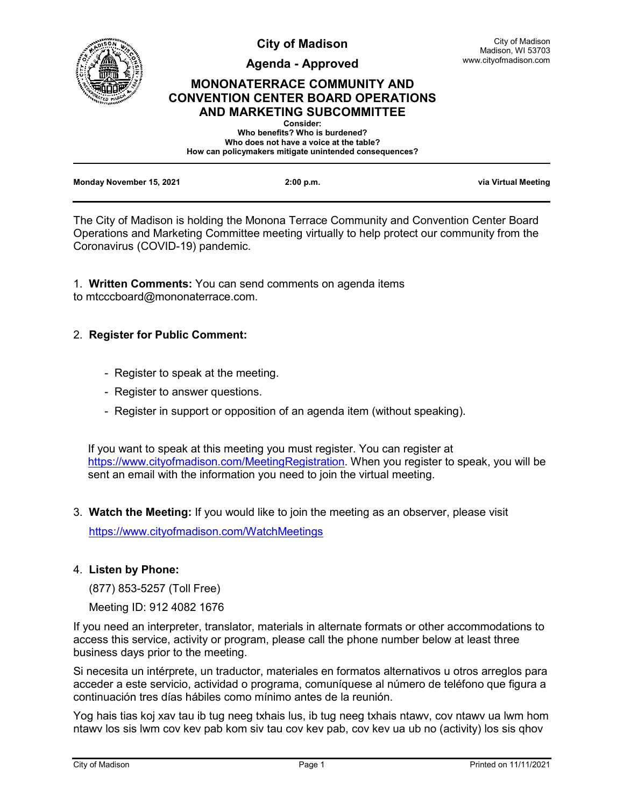

**City of Madison**

**Agenda - Approved**

# **MONONATERRACE COMMUNITY AND CONVENTION CENTER BOARD OPERATIONS AND MARKETING SUBCOMMITTEE**

| <b>Consider:</b>                                       |  |
|--------------------------------------------------------|--|
| Who benefits? Who is burdened?                         |  |
| Who does not have a voice at the table?                |  |
| How can policymakers mitigate unintended consequences? |  |
|                                                        |  |
|                                                        |  |
|                                                        |  |

| Monday November 15, 2021 | 2:00 p.m. | via Virtual Meeting |
|--------------------------|-----------|---------------------|
|                          |           |                     |

The City of Madison is holding the Monona Terrace Community and Convention Center Board Operations and Marketing Committee meeting virtually to help protect our community from the Coronavirus (COVID-19) pandemic.

1. **Written Comments:** You can send comments on agenda items to mtcccboard@mononaterrace.com.

# 2. **Register for Public Comment:**

- Register to speak at the meeting.
- Register to answer questions.
- Register in support or opposition of an agenda item (without speaking).

If you want to speak at this meeting you must register. You can register at [https://www.cityofmadison.com/MeetingRegistration.](https://www.cityofmadison.com/MeetingRegistration) When you register to speak, you will be sent an email with the information you need to join the virtual meeting.

3. **Watch the Meeting:** If you would like to join the meeting as an observer, please visit

<https://www.cityofmadison.com/WatchMeetings>

# 4. **Listen by Phone:**

(877) 853-5257 (Toll Free)

Meeting ID: 912 4082 1676

If you need an interpreter, translator, materials in alternate formats or other accommodations to access this service, activity or program, please call the phone number below at least three business days prior to the meeting.

Si necesita un intérprete, un traductor, materiales en formatos alternativos u otros arreglos para acceder a este servicio, actividad o programa, comuníquese al número de teléfono que figura a continuación tres días hábiles como mínimo antes de la reunión.

Yog hais tias koj xav tau ib tug neeg txhais lus, ib tug neeg txhais ntawv, cov ntawv ua lwm hom ntawv los sis lwm cov kev pab kom siv tau cov kev pab, cov kev ua ub no (activity) los sis qhov